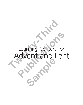# Learning Centers for Advent and Lent Learning Centers for Adventured Learning Learning Centers for<br>Advent and Len **Sample**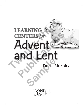## Doris Murphy Advent and Lent LEARNING CENTERS *for* LEARNING **PENTERS for**<br> **Property**<br> **Publication**<br> **Publication**<br> **Portis Murph Sample**<br>
Samples

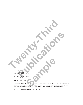Twenty-Third Publications A Division of Bayard One Montauk Avenue, Suite 200 New London, CT 06320 (860) 437-3012 or (800) 321-0411 www.23rdpublications.com **Publications (Publications )** 

#### ISBN 978-1-58595-686-9

Copyright ©2008 Doris Murphy. All rights reserved. Permission is given to reproduce these pages as needed for noncommercial use in schools, churches, and other prayer groups. Otherwise, no part of this publication may be reproduced in any manner without prior written permission of the publisher. Write to the Permissions Editor. Murphy, All rights reserved. Permission is given to reproduce the<br>B<sub>S, c</sub>hurches, and other prayer groups. Otherwise, no part of this hout prior written permission of the publisher. Write to the Permission

**Twenty-Third Islands** 

Library of Congress Catalog Card Number: 2008921776 Printed in the U.S.A.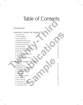### Table of Contents

#### Introduction 1

#### Learning Centers for Advent

- 1. The Jesse Tree
- 2. The O Antiphons
- 3. The Church Year 11
- 4. Prepare the Way for Jesus 16
- 5. Be Watchful and Patient 19
- 6. Presents and Presence 21 and 21
- 7. Names for Jesus 24
- 8. Jesus Gives Peace and Light 28
- 9. Mary the Mother of Jesus 32
- 10. St. Joseph 36
- 11. A Special Christmas Card 38
- 12. Bethlehem 40
- 13. Advent/Christmas Video 42

#### Learning Centers for Lent

| IUNIL VI LUITUITU                                                                                                                                                                                                                                                                                                                                                              |                                                                      |  |
|--------------------------------------------------------------------------------------------------------------------------------------------------------------------------------------------------------------------------------------------------------------------------------------------------------------------------------------------------------------------------------|----------------------------------------------------------------------|--|
| Introduction                                                                                                                                                                                                                                                                                                                                                                   | 1                                                                    |  |
| Learning Centers for Advent<br>1. The Jesse Tree<br>2. The O Antiphons<br>3. The Church Year<br>4. Prepare the Way for Jesus<br>5. Be Watchful and Patient<br>6. Presents and Presence<br>7. Names for Jesus<br>8. Jesus Gives Peace and Light<br>9. Mary the Mother of Jesus<br>10. St. Joseph<br>11. A Special Christmas Card<br>12. Bethlehem<br>13. Advent/Christmas Video | 8<br>11<br>16<br>19<br>21<br>24<br>28<br>32<br>36<br>38<br>40<br>42  |  |
| Learning Centers for Lent<br>1. The Cross<br>2. Making Choices<br>3. Keeping the Commandments<br>4. A Reminder of Prayer<br>5. Lenten Practices<br>6. A Holy Place<br>7. Our Need for Change<br>8. Jesus Blesses Us<br>9. Jesus Gives Life<br>10. Jesus Gives Us Light<br>11. We Have Living Water<br>12. Lent/Easter Video                                                    | 44<br>47<br>51<br>54<br>57<br>61<br>63<br>66<br>69<br>72<br>75<br>78 |  |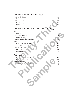#### Learning Centers for Holy Week

1. Symbols of Lent 80 2. The Last Supper 83 3. Stations of the Cross 85 4. Christ the Light 87 5. Easter 89

#### Learning Centers for the Whole Community

#### *Advent*

| 3. Stations of the Cross                 | 85  |
|------------------------------------------|-----|
|                                          |     |
| 4. Christ the Light                      | 87  |
| 5. Easter                                | 89  |
| Learning Centers for the Whole Community |     |
| Advent                                   |     |
| 1. Jesse Tree                            | 92  |
| 2. St. John the Baptist                  | 94  |
| 3. Names for Jesus                       | 96  |
| 4. Mary and Joseph at Bethlehem          | 98  |
| Lent                                     |     |
| 1. Prayer, Fasting, Almsgiving           | 100 |
| 2. The Cross                             | 101 |
| 3. A Time for Change                     | 102 |
| 4. Holy Week                             | 104 |
| 5. Making Choices                        | 105 |
|                                          |     |
| Appendix                                 |     |
| Letter to Parents for Advent             | 108 |
| Letter to Parents for Lent               | 109 |
| <b>Evaluation Form</b>                   | 110 |
| Gathering Prayer for Advent              | 111 |
| Gathering Prayer for Lent                | 112 |
|                                          |     |
|                                          |     |
|                                          |     |
|                                          |     |
|                                          |     |
|                                          |     |
|                                          |     |
|                                          |     |
| $30^\circ$                               |     |
|                                          |     |
|                                          |     |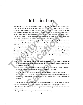### Introduction

Learning centers are one means for helping parents and other adults get involved in the religious formation of children in non-intimidating and practical ways. Many parents are eager to learn more about their own faith and want to hand that faith on to their children, but they don't feel they have adequate training or enough information to do so. Yet parents share their faith best through example, family rituals, and conversations. Learning centers can help them extend this process. This practical method of faith sharing can be used with almost any doctrinal content when presented in an age-appropriate manner with sensitivity to various learning styles. **THTCOCLUCTION**<br>
Learning centers are one means for helping parents and other adults get involved<br>
formation of children in non-intimidating and practical ways. Many parents are<br>
more about their convintin and want to hand

So here parents are provided the opportunity to complete hands-on tasks, have discussions/ conversations about their faith with their children, and reinforce material that is addressed in their children's textbooks.

Learning centers offer creative and interactive ways to do this. Plus they are flexible. Parents can choose a convenient time to visit the center with their children and work at their own pace. It usually takes about two hours to thoughtfully visit the sessions and complete the activities. Learning centers also give the director of faith formation an opportunity to observe parents, children, and other adults working together. This can help him or her determine which learning centers are most beneficial in the learning process. dequate training or enough information to do so. Yet parents share their faith best thro<br>
le, family rituals, and conversations. Ecarning centers can help them extend this protectical method of faith sharing can be used wi

A few practical points:

- • If possible, before families visit the individual learning centers, review briefly with them the sheet of directions they will find at each center, which list the church teaching, the goal of the activity, and directions.
- • Make copies of the short suggested readings from the *Catechism of the Catholic Church* and have them at the appropriate centers so those who wish can read them.
- Make certain that each center has all the supplies needed and enough of each supply.
- At each center have a Bible with a marker on the page where the appropriate passage for that center can be easily found. (You might want to use a child's version of the Bible for these readings.) ints:<br>
Interior families visit the individual learning centers, review<br>
Interior of the short suggested readings from the *Catechism of the*<br>
2014 appropriate centers so those who wish can read them<br>
Interach center has al

Special thanks to Carol Mercord, Religious Education Director at St. Joseph Parish in Prescott, Wisconsin, who continues to give her support, help, and advice in developing these centers.

Also thanks to Diane Wengelski at St. Bridget's Parish for her suggestions about how to use the learning centers.

And special thanks to my nephew Nathan for his computer savvy.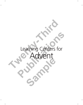# Learning Centers for Advent Learning Centers fo Learning Centers for Sample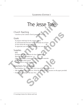## The Jesse Tree

#### Church Teaching

*Catechism of the Catholic Church*, paragraphs 64, 712

#### Goals

To prepare with hope for the coming of Jesus

To understand that the Jesse Tree is the family tree of Jesus

To learn about the ancestors of Jesus

To appreciate your own family tree and your own relatives

#### Supplies

Bible Envelope with slips of names for Jesse Tree symbols Sheet for your own family tree Glue, colored paper, scissors, pencils, crayons, art materials Pieces of yarn; paper punch A tree branch or small Christmas tree **THE SECRE TREE**<br>
Church Teaching<br>
Catechism of the Catholic Church, paragraphs 64, 712<br>
Goals<br>
To prepare with hope for the coming of Jesus<br>
To understand that the Jesse Tree is the family tree of Jesus<br>
To learn about th **PERITOR PERITORS**<br> **PERITOR OF THE CALID CONTRACT CONTRACT CONTRACT CONTRACT CONTRACT CONTRACT CONTRACT CONTRACT CONTRACT CONTRACT CONTRACT CONTRACT CONTRACT CONTRACT CONTRACT CONTRACT CONTRACT CONTRACT CONTRACT CONTRACT** France Controllers (France Controllers Capture Controllers Controllers Controllers Controllers Controllers Controllers Controllers Controllers Controllers Controllers Controllers Controllers Controllers Controllers Control

#### Directions for Activities

- Read Matthew 1:1-17, Jeremiah 33:15, Acts of the Apostles 13:22-23.
- Talk about your own family tree. Write the names of your ancestors on the paper provided.
- • Discuss the meaning of the Jesse Tree.

<sup>4</sup> Learning Centers for Advent and Lent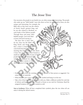#### The Jesse Tree

Our ancestors, the people in our family tree, are often unique and interesting. The people who make up our "faith family," ones who show us how we are related to Jesus, are also

unique and interesting. For example, the Bible tells us that Jesus was the relative of David, Israel's greatest king, and he was also related to Abraham, an early leader of the Hebrew people. Through these and many other faithful people, God took flesh as Jesus and lived among us.

The Jesse Tree is Jesus' family tree. Jesse was the father of King David, and Isaiah wrote that a shoot (a branch) would come forth from the root of Jesse, meaning that Jesus would be this shoot. A Jesse Tree, made with a bare branch or small tree, holds symbols of some of the people from the Old Testament who waited and prepared for Jesus. It is an Advent custom to think about and pray to Jesus' ancestors.

- Our ancestors, the people in our family tree, are often unique and interestin<br>who make up our "faith family" ones who show us how we are related to<br>unique and interesting. For example, the<br>Bible tells us that Jesus was the leader of the Hebrew people.<br>
ull people, God took flesh<br>
ul people, God took flesh<br>
ul people, God took flesh<br>
us and lived among us.<br>
<br>
Playid, and Issiah write and the substrate of the state of the state of the state of Fraction to think<br>
Same to think<br>
Same and the symbol of that perspectively<br>
Same the symbol of that perspectively<br>
Same transition of the symbol and hang it on<br>
Same Tree names home with you. Make a different<br>
same to mak
	- Draw one strip from the envelope. Make the symbol of that person as suggested. Use some of the art materials.
	- When finished, put a piece of string on the symbol and hang it on the tree.
	- Take a list of the Jesse Tree names home with you. Make a different symbol for each day of Advent and hang it on a tree (branch) at home as you wait for Christmas. Read the assigned Scripture story for each symbol as well.

**Note to Facilitator:** When all have completed their symbols, place the tree where all can enjoy it during the Advent season.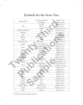#### Symbols for the Jesse Tree

|  | Adam and Eve                         | tree of good and evil | Genesis 3:1-24         |
|--|--------------------------------------|-----------------------|------------------------|
|  |                                      | fruit (apple)         | Genesis 3:1-24         |
|  |                                      | ark, boat             | Genesis 6:13-17        |
|  | Noah                                 | rainbow               | Genesis 9:8-17         |
|  |                                      | animals               | Genesis 6:17-22; 7:1-4 |
|  | Abraham and Sarah                    | tent                  | Genesis 12:8-9         |
|  | Abraham                              | stars                 | Genesis 15:5-7         |
|  | Isaac                                | ram                   | Genesis 22:1-14        |
|  | Rebecca                              | a well                | Genesis 24:12-21       |
|  | Jacob                                | ladder                | Genesis 28:10-17       |
|  | Rachel and Leah                      | baskets               | Genesis 29:15-30       |
|  | Joseph                               | coat of colors        | Genesis 37:1-4         |
|  | Moses                                | burning bush          | Exodus 3:1-15          |
|  |                                      | Ten Commandments      | Exodus 20:1-21         |
|  | Rahab                                | red rope              | Joshua 2:1-21          |
|  | Deborah                              | palm tree             | Judges 4:4-7           |
|  | Gideon                               | torch                 | Judges 7:16-18         |
|  | Sampson                              | jawbone               | Judges 15:14-17        |
|  | Ruth                                 | stalk of wheat        | Ruth, Chapters 1-4     |
|  | Samuel                               | oil                   | 1 Samuel 16:1-13       |
|  | David                                | stringed harp         | 1 Samuel 16:14-23      |
|  |                                      | slingshot             | 1 Samuel 17:42-58      |
|  | Solomon<br>Elijah<br>Jonah<br>Isaiah | crown                 | 1 Kings 3:4-14         |
|  |                                      | temple                | 1 Kings 6:4-14         |
|  |                                      | chariot               | 2 Kings 2:9–14         |
|  |                                      | whale                 | Jonah $2:1-10$         |
|  |                                      | root/branch           | Isaiah 11:1-9          |
|  | Ezekiel                              | bones                 | Ezekiel 37:1-14        |
|  | Daniel                               | lion                  | Daniel 6:10-23         |
|  | Elizabeth                            | home                  | Luke 1:39–45           |
|  | John the Baptist                     | shell and water       | Matthew 3:4-12         |
|  | Joseph                               | hammer and saw        | Matthew 1:19-21        |
|  | Mary                                 | manger                | Luke $2:1-14$          |

6 Learning Centers for Advent and Lent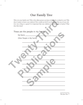#### Our Family Tree

Who is in your family now? Who is the oldest person you know about who is related to you? Why does it matter to know your relatives? How would you feel if you found out that one of your relatives was a king or a queen? Is it important that your relatives would be people of justice? What does that mean?

| does that mean?                    | Who is in your family now? Who is the oldest person you know about who is related to you? I<br>does it matter to know your relatives? How would you feel if you found out that one of your 1<br>tives was a king or a queen? Is it important that your relatives would be people of justice? V |
|------------------------------------|------------------------------------------------------------------------------------------------------------------------------------------------------------------------------------------------------------------------------------------------------------------------------------------------|
| These are the people in my family: |                                                                                                                                                                                                                                                                                                |
| My Name _________                  |                                                                                                                                                                                                                                                                                                |
| Other People in My Family:         |                                                                                                                                                                                                                                                                                                |
|                                    |                                                                                                                                                                                                                                                                                                |

*The Jesse Tree* 7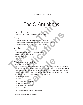## The O Antiphons

#### Church Teaching

*Catechism of the Catholic Church*, paragraphs 452, 2648

#### Goals

To know the importance and meaning of the O Antiphons To learn the many different names used for Jesus (especially "God with us") To celebrate Advent in our homes with special prayers

#### **Supplies**

Bible Copy of the song "O Come, O Come Emmanuel" Sheet of circles for the O Antiphons Pencils, crayons, markers Prayer sheet **THE O Antiphons**<br>
Church Teaching<br>
Catedism of the Catholic Church, paragraphs 452, 2648<br>
Goals<br>
To know the importance and meaning of the O Antiphons<br>
To celebrate Advent in our homes with special prayers<br>
To celebrate A

#### Directions for Activities

- Read Isaiah 9:6 and Matthew 1:22-23.
- Explain the meaning of the  $O$  Antiphons: Antiphons are short prayers that are prayed when people come together for evening prayer (also called vespers). Seven days before Christmas, the O Antiphons are sung. Each begins with the word "O," followed by a different name for Jesus. **PCN Heaching**<br> **Perism** of the Catholic Church, paragraphs 452, 2648<br> **PUBLIS**<br> **PUBLIS**<br> **PUBLIS**<br> **PUBLICATE ANOTE AND CONSIDER AND THE CONSIDER CONSIDER AND THE SET OF CONSIDER PROPERTIES<br>
PUBLICATE AND CONSIDER AND CO Sample 1997**<br> **Sample 1997**<br> **Sample 1997**<br> **Sample 1997**<br> **Sample 1997**<br> **Sample 1997**<br> **Sample 1997**<br> **Sample 1997**<br> **Sample 1997**<br> **Sample 1997**<br> **Sample 1997**<br> **Sample 1997**<br> **Sample 1997**<br> **Sample 1997**<br> **Sample 1997**
- Take the sheet with seven circles and prayers on the other side. Each of these is an "O." Draw a picture inside the "O" that shows a symbol of the Jesus-name.
	- 1. O Wisdom—an eye
	- 2. O Adonai—hand
	- 3. O Root of Jesse—tree root
	- 4. O Key of David—key
	- 5. O Rising Dawn—rising sun
	- 6. O King of Nations—crown
	- 7. O Emmanuel, God-with-us—crib/manger

8 Learning Centers for Advent and Lent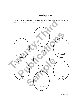#### The O Antiphons

Pray an O Antiphon each evening from December 18 to December 24. Let each remind you to open your heart to Jesus as you prepare for Christmas.